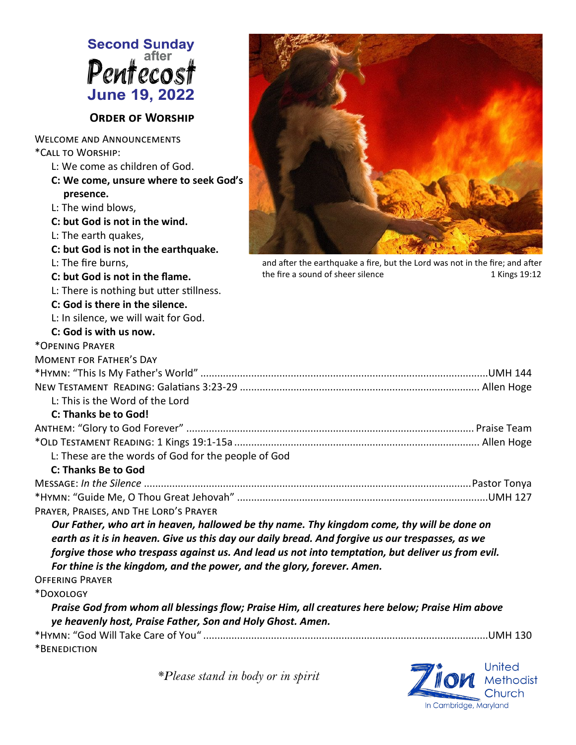

*\*Please stand in body or in spirit*